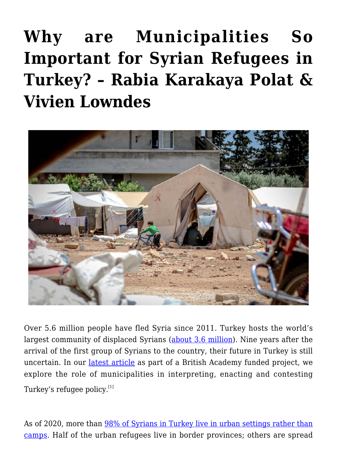## **[Why are Municipalities So](https://www.uikpanorama.com/blog/2020/11/24/why-are-municipalities-so-important-for-syrian-refugees-in-turkey/) [Important for Syrian Refugees in](https://www.uikpanorama.com/blog/2020/11/24/why-are-municipalities-so-important-for-syrian-refugees-in-turkey/) [Turkey? – Rabia Karakaya Polat &](https://www.uikpanorama.com/blog/2020/11/24/why-are-municipalities-so-important-for-syrian-refugees-in-turkey/) [Vivien Lowndes](https://www.uikpanorama.com/blog/2020/11/24/why-are-municipalities-so-important-for-syrian-refugees-in-turkey/)**



Over 5.6 million people have fled Syria since 2011. Turkey hosts the world's largest community of displaced Syrians ([about 3.6 million](https://www.unhcr.org/tr/wp-content/uploads/sites/14/2020/11/UNHCR-Turkey-Operational-Update-October-2020.pdf)). Nine years after the arrival of the first group of Syrians to the country, their future in Turkey is still uncertain. In our [latest article](https://www.tandfonline.com/doi/full/10.1080/03003930.2020.1825386) as part of a British Academy funded project, we explore the role of municipalities in interpreting, enacting and contesting Turkey's refugee policy.[1]

As of 2020, more than [98% of Syrians in Turkey live in urban settings rather than](https://multeciler.org.tr/eng/numbers-of-syrians-in-turkey-july-2020/) [camps.](https://multeciler.org.tr/eng/numbers-of-syrians-in-turkey-july-2020/) Half of the urban refugees live in border provinces; others are spread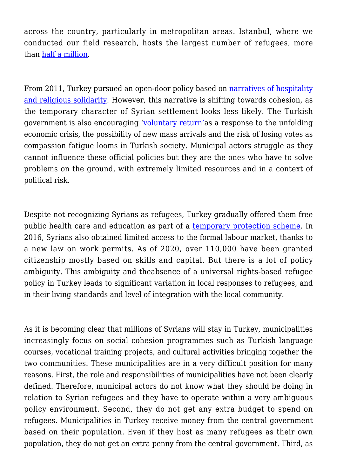across the country, particularly in metropolitan areas. Istanbul, where we conducted our field research, hosts the largest number of refugees, more than [half a million.](https://multeciler.org.tr/eng/numbers-of-syrians-in-turkey-july-2020/)

From 2011, Turkey pursued an open-door policy based on [narratives of hospitality](https://www.tandfonline.com/doi/abs/10.1080/17405904.2018.1500925) [and religious solidarity.](https://www.tandfonline.com/doi/abs/10.1080/17405904.2018.1500925) However, this narrative is shifting towards cohesion, as the temporary character of Syrian settlement looks less likely. The Turkish government is also encouraging ['voluntary return'](https://www.hurriyetdailynews.com/erdogan-syrians-will-not-stay-here-forever-127012)as a response to the unfolding economic crisis, the possibility of new mass arrivals and the risk of losing votes as compassion fatigue looms in Turkish society. Municipal actors struggle as they cannot influence these official policies but they are the ones who have to solve problems on the ground, with extremely limited resources and in a context of political risk.

Despite not recognizing Syrians as refugees, Turkey gradually offered them free public health care and education as part of a [temporary protection scheme](https://help.unhcr.org/turkey/information-for-syrians/temporary-protection-in-turkey/). In 2016, Syrians also obtained limited access to the formal labour market, thanks to a new law on work permits. As of 2020, over 110,000 have been granted citizenship mostly based on skills and capital. But there is a lot of policy ambiguity. This ambiguity and theabsence of a universal rights-based refugee policy in Turkey leads to significant variation in local responses to refugees, and in their living standards and level of integration with the local community.

As it is becoming clear that millions of Syrians will stay in Turkey, municipalities increasingly focus on social cohesion programmes such as Turkish language courses, vocational training projects, and cultural activities bringing together the two communities. These municipalities are in a very difficult position for many reasons. First, the role and responsibilities of municipalities have not been clearly defined. Therefore, municipal actors do not know what they should be doing in relation to Syrian refugees and they have to operate within a very ambiguous policy environment. Second, they do not get any extra budget to spend on refugees. Municipalities in Turkey receive money from the central government based on their population. Even if they host as many refugees as their own population, they do not get an extra penny from the central government. Third, as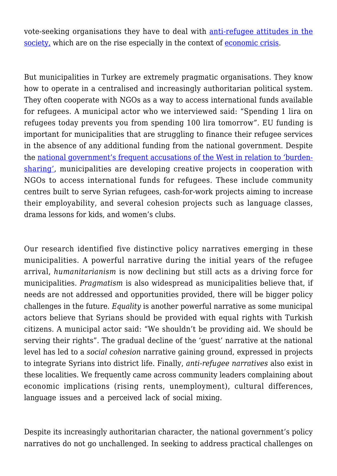vote-seeking organisations they have to deal with [anti-refugee attitudes in the](https://www.brookings.edu/blog/future-development/2019/11/25/turkeys-syrian-refugees-the-welcome-fades/) [society,](https://www.brookings.edu/blog/future-development/2019/11/25/turkeys-syrian-refugees-the-welcome-fades/) which are on the rise especially in the context of [economic crisis.](https://theconversation.com/turkeys-collapsing-lira-government-is-running-out-of-options-for-embattled-currency-143365)

But municipalities in Turkey are extremely pragmatic organisations. They know how to operate in a centralised and increasingly authoritarian political system. They often cooperate with NGOs as a way to access international funds available for refugees. A municipal actor who we interviewed said: "Spending 1 lira on refugees today prevents you from spending 100 lira tomorrow". EU funding is important for municipalities that are struggling to finance their refugee services in the absence of any additional funding from the national government. Despite the [national government's frequent accusations of the West in relation to 'burden](https://www.hurriyetdailynews.com/europe-will-share-the-burden-of-refugees-erdogan-152629)[sharing',](https://www.hurriyetdailynews.com/europe-will-share-the-burden-of-refugees-erdogan-152629) municipalities are developing creative projects in cooperation with NGOs to access international funds for refugees. These include community centres built to serve Syrian refugees, cash-for-work projects aiming to increase their employability, and several cohesion projects such as language classes, drama lessons for kids, and women's clubs.

Our research identified five distinctive policy narratives emerging in these municipalities. A powerful narrative during the initial years of the refugee arrival, *humanitarianism* is now declining but still acts as a driving force for municipalities. *Pragmatism* is also widespread as municipalities believe that, if needs are not addressed and opportunities provided, there will be bigger policy challenges in the future. *Equality* is another powerful narrative as some municipal actors believe that Syrians should be provided with equal rights with Turkish citizens. A municipal actor said: "We shouldn't be providing aid. We should be serving their rights". The gradual decline of the 'guest' narrative at the national level has led to a *social cohesion* narrative gaining ground, expressed in projects to integrate Syrians into district life. Finally, *anti-refugee narratives* also exist in these localities. We frequently came across community leaders complaining about economic implications (rising rents, unemployment), cultural differences, language issues and a perceived lack of social mixing.

Despite its increasingly authoritarian character, the national government's policy narratives do not go unchallenged. In seeking to address practical challenges on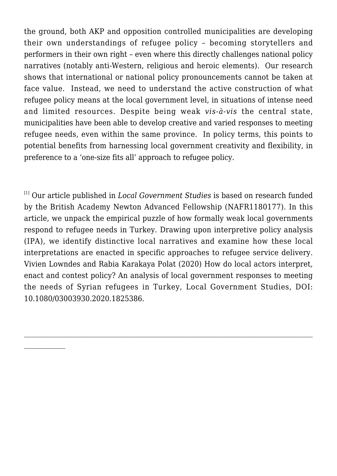the ground, both AKP and opposition controlled municipalities are developing their own understandings of refugee policy – becoming storytellers and performers in their own right – even where this directly challenges national policy narratives (notably anti-Western, religious and heroic elements). Our research shows that international or national policy pronouncements cannot be taken at face value. Instead, we need to understand the active construction of what refugee policy means at the local government level, in situations of intense need and limited resources. Despite being weak *vis-à-vis* the central state, municipalities have been able to develop creative and varied responses to meeting refugee needs, even within the same province. In policy terms, this points to potential benefits from harnessing local government creativity and flexibility, in preference to a 'one-size fits all' approach to refugee policy.

[1] Our article published in *Local Government Studies* is based on research funded by the British Academy Newton Advanced Fellowship (NAFR1180177). In this article, we unpack the empirical puzzle of how formally weak local governments respond to refugee needs in Turkey. Drawing upon interpretive policy analysis (IPA), we identify distinctive local narratives and examine how these local interpretations are enacted in specific approaches to refugee service delivery. Vivien Lowndes and Rabia Karakaya Polat (2020) How do local actors interpret, enact and contest policy? An analysis of local government responses to meeting the needs of Syrian refugees in Turkey, Local Government Studies, DOI: 10.1080/03003930.2020.1825386.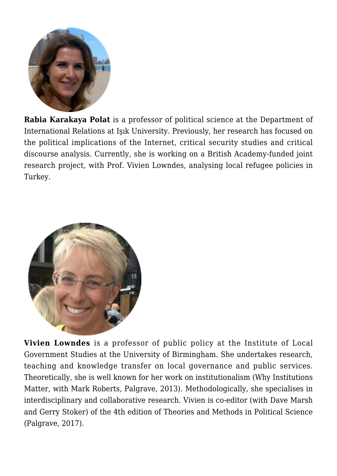

**Rabia Karakaya Polat** is a professor of political science at the Department of International Relations at Işık University. Previously, her research has focused on the political implications of the Internet, critical security studies and critical discourse analysis. Currently, she is working on a British Academy-funded joint research project, with Prof. Vivien Lowndes, analysing local refugee policies in Turkey.



**Vivien Lowndes** is a professor of public policy at the Institute of Local Government Studies at the University of Birmingham. She undertakes research, teaching and knowledge transfer on local governance and public services. Theoretically, she is well known for her work on institutionalism (Why Institutions Matter, with Mark Roberts, Palgrave, 2013). Methodologically, she specialises in interdisciplinary and collaborative research. Vivien is co-editor (with Dave Marsh and Gerry Stoker) of the 4th edition of Theories and Methods in Political Science (Palgrave, 2017).